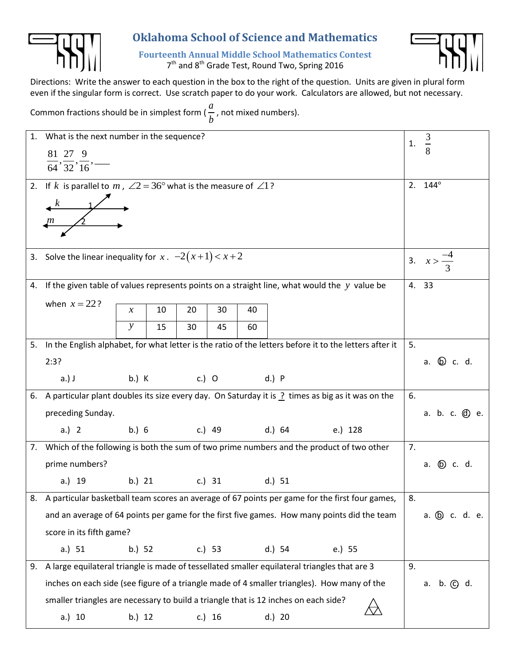

## **Oklahoma School of Science and Mathematics**

**Fourteenth Annual Middle School Mathematics Contest** 7<sup>th</sup> and 8<sup>th</sup> Grade Test, Round Two, Spring 2016



Directions: Write the answer to each question in the box to the right of the question. Units are given in plural form even if the singular form is correct. Use scratch paper to do your work. Calculators are allowed, but not necessary.

Common fractions should be in simplest form ( *a b* , not mixed numbers).

|    | 1. What is the next number in the sequence?                                                               |                   |                      |    |        |    |        |                                                                                                                 |                 | $rac{3}{8}$           |
|----|-----------------------------------------------------------------------------------------------------------|-------------------|----------------------|----|--------|----|--------|-----------------------------------------------------------------------------------------------------------------|-----------------|-----------------------|
|    | $\frac{81}{64}, \frac{27}{32}, \frac{9}{16}$ —                                                            |                   |                      |    |        |    |        |                                                                                                                 | 1.              |                       |
|    |                                                                                                           |                   |                      |    |        |    |        |                                                                                                                 |                 |                       |
|    | 2. If k is parallel to m, $\angle 2 = 36^{\circ}$ what is the measure of $\angle 1$ ?                     |                   |                      |    |        |    |        |                                                                                                                 |                 | 2. $144^{\circ}$      |
|    |                                                                                                           |                   |                      |    |        |    |        |                                                                                                                 |                 |                       |
|    | $\begin{array}{c}\n k \\ m\n\end{array}$                                                                  |                   |                      |    |        |    |        |                                                                                                                 |                 |                       |
|    |                                                                                                           |                   |                      |    |        |    |        |                                                                                                                 |                 |                       |
|    | 3. Solve the linear inequality for $x \cdot -2(x+1) < x+2$                                                |                   |                      |    |        |    |        |                                                                                                                 |                 | 3. $x > \frac{-4}{3}$ |
|    |                                                                                                           |                   |                      |    |        |    |        |                                                                                                                 |                 |                       |
|    |                                                                                                           |                   |                      |    |        |    |        | 4. If the given table of values represents points on a straight line, what would the $y$ value be               |                 | 4. 33                 |
|    | when $x = 22$ ?                                                                                           | $\mathcal{X}$     | 10                   | 20 | 30     | 40 |        |                                                                                                                 |                 |                       |
|    |                                                                                                           | $\mathbf{y}$      | 15                   | 30 | 45     | 60 |        |                                                                                                                 |                 |                       |
|    | 5. In the English alphabet, for what letter is the ratio of the letters before it to the letters after it |                   |                      |    |        |    |        |                                                                                                                 | 5.              |                       |
|    | 2:3?                                                                                                      |                   |                      |    |        |    |        |                                                                                                                 |                 | a. <b>b</b> c. d.     |
|    | $a.)$ J                                                                                                   |                   |                      |    |        |    |        |                                                                                                                 |                 |                       |
|    |                                                                                                           |                   |                      |    |        |    |        | 6. A particular plant doubles its size every day. On Saturday it is $\frac{1}{2}$ times as big as it was on the | 6.              |                       |
|    |                                                                                                           | preceding Sunday. |                      |    |        |    |        |                                                                                                                 |                 | a. b. c. @ e.         |
|    | a.) 2                                                                                                     |                   |                      |    |        |    |        | b.) 6 c.) 49 d.) 64 e.) 128                                                                                     |                 |                       |
|    | 7. Which of the following is both the sum of two prime numbers and the product of two other               |                   |                      |    |        |    |        |                                                                                                                 | 7.              |                       |
|    | prime numbers?                                                                                            |                   |                      |    |        |    |        |                                                                                                                 |                 | a. <b>b</b> c. d.     |
|    | a.) 19                                                                                                    |                   | b.) 21 c.) 31 d.) 51 |    |        |    |        |                                                                                                                 |                 |                       |
|    |                                                                                                           |                   |                      |    |        |    |        | 8. A particular basketball team scores an average of 67 points per game for the first four games,               | 8.              |                       |
|    | and an average of 64 points per game for the first five games. How many points did the team               |                   |                      |    |        |    |        |                                                                                                                 | a. (b) c. d. e. |                       |
|    | score in its fifth game?                                                                                  |                   |                      |    |        |    |        |                                                                                                                 |                 |                       |
|    | a.) $51$                                                                                                  | b.) 52            |                      |    | c.) 53 |    | d.) 54 | e.) 55                                                                                                          |                 |                       |
| 9. | A large equilateral triangle is made of tessellated smaller equilateral triangles that are 3              |                   |                      |    |        |    |        |                                                                                                                 | 9.              |                       |
|    | inches on each side (see figure of a triangle made of 4 smaller triangles). How many of the               |                   |                      |    |        |    |        |                                                                                                                 |                 | a. b. (c) d.          |
|    | smaller triangles are necessary to build a triangle that is 12 inches on each side?                       |                   |                      |    |        |    |        |                                                                                                                 |                 |                       |
|    | a.) 10                                                                                                    | b.) 12            |                      |    | c.) 16 |    | d.) 20 |                                                                                                                 |                 |                       |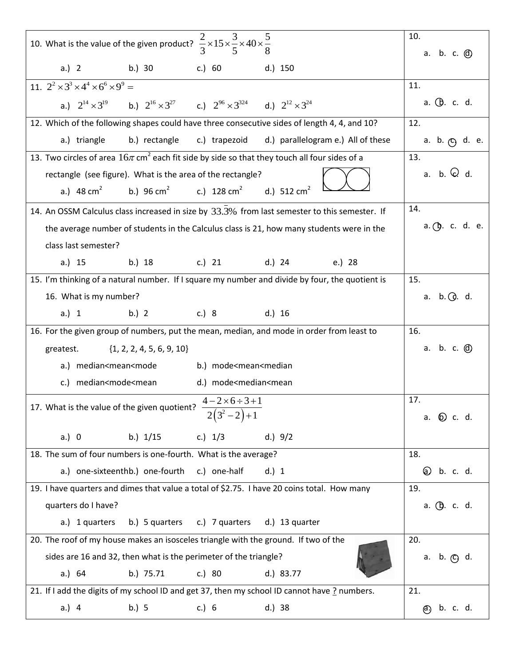| 10. What is the value of the given product? $\frac{2}{3} \times 15 \times \frac{3}{5} \times 40 \times \frac{5}{8}$ | 10.<br>a. b. c. @          |
|---------------------------------------------------------------------------------------------------------------------|----------------------------|
| a.) 2 b.) 30 c.) 60<br>d.) 150                                                                                      |                            |
| 11. $2^{2} \times 3^{3} \times 4^{4} \times 6^{6} \times 9^{9} =$                                                   | 11.                        |
| a.) $2^{14} \times 3^{19}$ b.) $2^{16} \times 3^{27}$ c.) $2^{96} \times 3^{324}$ d.) $2^{12} \times 3^{24}$        | a. <b>(b</b> . c. d.       |
| 12. Which of the following shapes could have three consecutive sides of length 4, 4, and 10?                        | 12.                        |
| d.) parallelogram e.) All of these<br>a.) triangle<br>b.) rectangle<br>c.) trapezoid                                | a. b. <sub>(C)</sub> d. e. |
| 13. Two circles of area $16\pi$ cm <sup>2</sup> each fit side by side so that they touch all four sides of a        | 13.                        |
| rectangle (see figure). What is the area of the rectangle?                                                          | a. b. $Q$ d.               |
| b.) 96 cm <sup>2</sup> c.) 128 cm <sup>2</sup> d.) 512 cm <sup>2</sup><br>a.) $48 \text{ cm}^2$                     |                            |
| 14. An OSSM Calculus class increased in size by 33.3% from last semester to this semester. If                       | 14.                        |
| the average number of students in the Calculus class is 21, how many students were in the                           | $a.$ (b. c. d. e.          |
| class last semester?                                                                                                |                            |
| b.) 18 c.) 21 d.) 24 e.) 28<br>a.) 15                                                                               |                            |
| 15. I'm thinking of a natural number. If I square my number and divide by four, the quotient is                     | 15.                        |
| 16. What is my number?                                                                                              | a. $b. Q. d.$              |
| b.) 2 c.) 8 d.) 16<br>a.) 1                                                                                         |                            |
| 16. For the given group of numbers, put the mean, median, and mode in order from least to                           | 16.                        |
| $\{1, 2, 2, 4, 5, 6, 9, 10\}$<br>greatest.                                                                          | a. b. c. @                 |
| a.) median <mean<mode<br>b.) mode<mean<median< td=""><td></td></mean<median<></mean<mode<br>                        |                            |
| c.) median <mode<mean<br>d.) mode<median<mean< td=""><td></td></median<mean<></mode<mean<br>                        |                            |
| $4 - 2 \times 6 \div 3 + 1$<br>17. What is the value of the given quotient?                                         | 17.                        |
| $\frac{1}{2(3^2-2)+1}$                                                                                              | a. (b) c. d.               |
| c.) $1/3$<br>a.) 0<br>b.) 1/15<br>d.) $9/2$                                                                         |                            |
| 18. The sum of four numbers is one-fourth. What is the average?                                                     | 18.                        |
| a.) one-sixteenthb.) one-fourth<br>c.) one-half<br>d.) 1                                                            | <b>@</b> b. c. d.          |
| 19. I have quarters and dimes that value a total of \$2.75. I have 20 coins total. How many                         | 19.                        |
| quarters do I have?                                                                                                 | a. (b. c. d.               |
| b.) 5 quarters<br>c.) 7 quarters<br>d.) 13 quarter<br>a.) 1 quarters                                                |                            |
| 20. The roof of my house makes an isosceles triangle with the ground. If two of the                                 | 20.                        |
| sides are 16 and 32, then what is the perimeter of the triangle?                                                    | a. b. ©, d.                |
|                                                                                                                     |                            |
| a.) $64$<br>b.) 75.71<br>c.) 80<br>d.) 83.77                                                                        |                            |
| 21. If I add the digits of my school ID and get 37, then my school ID cannot have ? numbers.                        | 21.                        |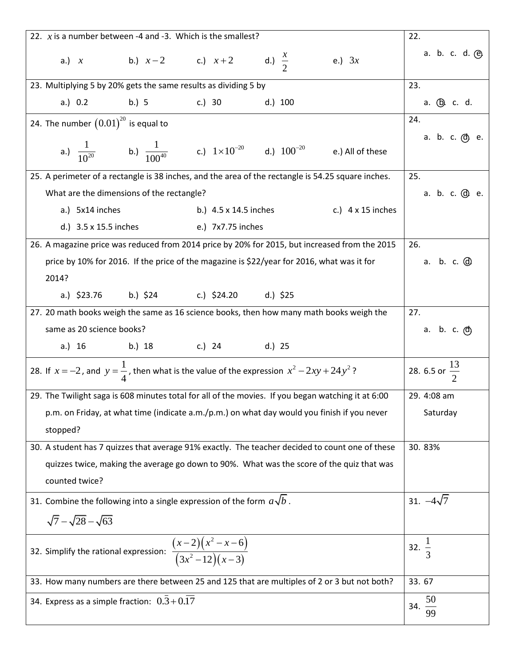| 22. $x$ is a number between -4 and -3. Which is the smallest?                                             | 22.                                      |                                                       |          |                      |  |  |  |  |  |
|-----------------------------------------------------------------------------------------------------------|------------------------------------------|-------------------------------------------------------|----------|----------------------|--|--|--|--|--|
| a.) x b.) $x-2$ c.) $x+2$ d.) $\frac{x}{2}$                                                               |                                          |                                                       | e.) $3x$ | a. b. c. d. @        |  |  |  |  |  |
| 23. Multiplying 5 by 20% gets the same results as dividing 5 by                                           | 23.                                      |                                                       |          |                      |  |  |  |  |  |
| a.) 0.2 b.) 5 c.) 30 d.) 100                                                                              |                                          |                                                       |          | a. <u>(b</u> . c. d. |  |  |  |  |  |
|                                                                                                           | 24. The number $(0.01)^{20}$ is equal to |                                                       |          |                      |  |  |  |  |  |
| a.) $\frac{1}{10^{20}}$ b.) $\frac{1}{100^{40}}$ c.) $1 \times 10^{-20}$ d.) $100^{-20}$ e.) All of these |                                          |                                                       |          | a. b. c. @ e.        |  |  |  |  |  |
| 25. A perimeter of a rectangle is 38 inches, and the area of the rectangle is 54.25 square inches.        |                                          |                                                       |          | 25.                  |  |  |  |  |  |
| What are the dimensions of the rectangle?                                                                 |                                          |                                                       |          | a. b. c. @ e.        |  |  |  |  |  |
| a.) 5x14 inches                                                                                           |                                          | b.) $4.5 \times 14.5$ inches c.) $4 \times 15$ inches |          |                      |  |  |  |  |  |
| d.) 3.5 x 15.5 inches e.) 7x7.75 inches                                                                   |                                          |                                                       |          |                      |  |  |  |  |  |
| 26. A magazine price was reduced from 2014 price by 20% for 2015, but increased from the 2015             |                                          |                                                       |          | 26.                  |  |  |  |  |  |
| price by 10% for 2016. If the price of the magazine is \$22/year for 2016, what was it for                |                                          |                                                       |          | a. b. c. @           |  |  |  |  |  |
| 2014?                                                                                                     |                                          |                                                       |          |                      |  |  |  |  |  |
| a.) \$23.76 b.) \$24 c.) \$24.20 d.) \$25                                                                 |                                          |                                                       |          |                      |  |  |  |  |  |
| 27. 20 math books weigh the same as 16 science books, then how many math books weigh the                  |                                          |                                                       |          | 27.                  |  |  |  |  |  |
| same as 20 science books?                                                                                 |                                          |                                                       |          | a. b. c. @           |  |  |  |  |  |
| a.) 16 b.) 18 c.) 24 d.) 25                                                                               |                                          |                                                       |          |                      |  |  |  |  |  |
| 28. If $x = -2$ , and $y = \frac{1}{4}$ , then what is the value of the expression $x^2 - 2xy + 24y^2$ ?  |                                          | 28. 6.5 or $\frac{13}{2}$                             |          |                      |  |  |  |  |  |
| 29. The Twilight saga is 608 minutes total for all of the movies. If you began watching it at 6:00        |                                          |                                                       |          | 29. 4:08 am          |  |  |  |  |  |
| p.m. on Friday, at what time (indicate a.m./p.m.) on what day would you finish if you never               |                                          |                                                       |          | Saturday             |  |  |  |  |  |
| stopped?                                                                                                  |                                          |                                                       |          |                      |  |  |  |  |  |
| 30. A student has 7 quizzes that average 91% exactly. The teacher decided to count one of these           |                                          |                                                       |          | 30.83%               |  |  |  |  |  |
| quizzes twice, making the average go down to 90%. What was the score of the quiz that was                 |                                          |                                                       |          |                      |  |  |  |  |  |
| counted twice?                                                                                            |                                          |                                                       |          |                      |  |  |  |  |  |
| 31. Combine the following into a single expression of the form $a\sqrt{b}$ .                              | 31. $-4\sqrt{7}$                         |                                                       |          |                      |  |  |  |  |  |
| $\sqrt{7} - \sqrt{28} - \sqrt{63}$                                                                        |                                          |                                                       |          |                      |  |  |  |  |  |
| 32. Simplify the rational expression: $\frac{(x-2)(x^2-x-6)}{(3x^2-12)(x-3)}$                             | 32. $\frac{1}{3}$                        |                                                       |          |                      |  |  |  |  |  |
| 33. How many numbers are there between 25 and 125 that are multiples of 2 or 3 but not both?              | 33.67                                    |                                                       |          |                      |  |  |  |  |  |
| 34. Express as a simple fraction: $0.3 + 0.17$                                                            | 50<br>34.<br>99                          |                                                       |          |                      |  |  |  |  |  |